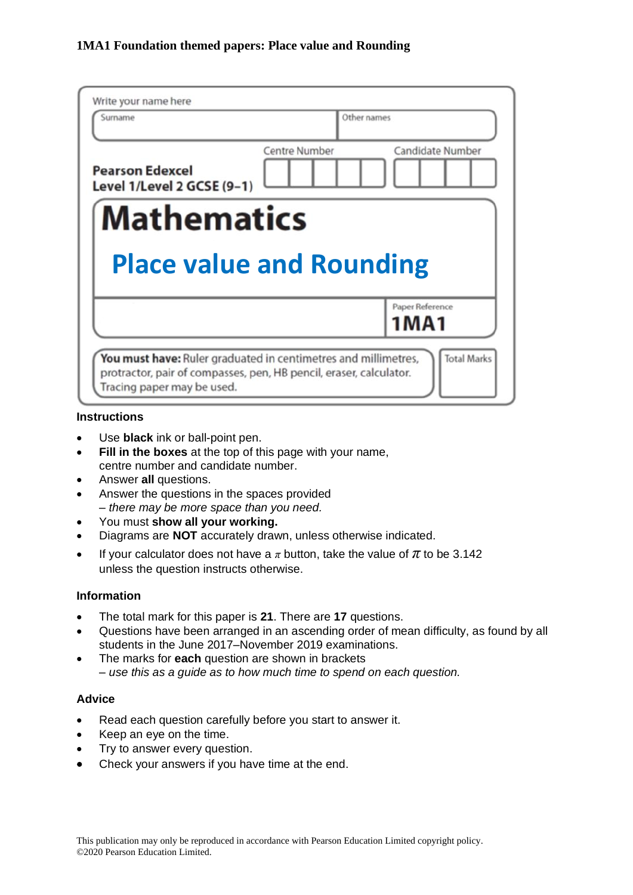| Write your name here<br>Surname                      | Other names          |                  |
|------------------------------------------------------|----------------------|------------------|
| <b>Pearson Edexcel</b><br>Level 1/Level 2 GCSE (9-1) | <b>Centre Number</b> | Candidate Number |
|                                                      |                      |                  |
| <b>Mathematics</b>                                   |                      |                  |
| <b>Place value and Rounding</b>                      |                      | Paper Reference  |
|                                                      |                      | 1MA1             |

#### **Instructions**

- Use **black** ink or ball-point pen.
- **Fill in the boxes** at the top of this page with your name, centre number and candidate number.
- Answer **all** questions.
- Answer the questions in the spaces provided *– there may be more space than you need.*
- You must **show all your working.**
- Diagrams are **NOT** accurately drawn, unless otherwise indicated.
- If your calculator does not have a  $\pi$  button, take the value of  $\pi$  to be 3.142 unless the question instructs otherwise.

#### **Information**

- The total mark for this paper is **21**. There are **17** questions.
- Questions have been arranged in an ascending order of mean difficulty, as found by all students in the June 2017–November 2019 examinations.
- The marks for **each** question are shown in brackets *– use this as a guide as to how much time to spend on each question.*

## **Advice**

- Read each question carefully before you start to answer it.
- Keep an eye on the time.
- Try to answer every question.
- Check your answers if you have time at the end.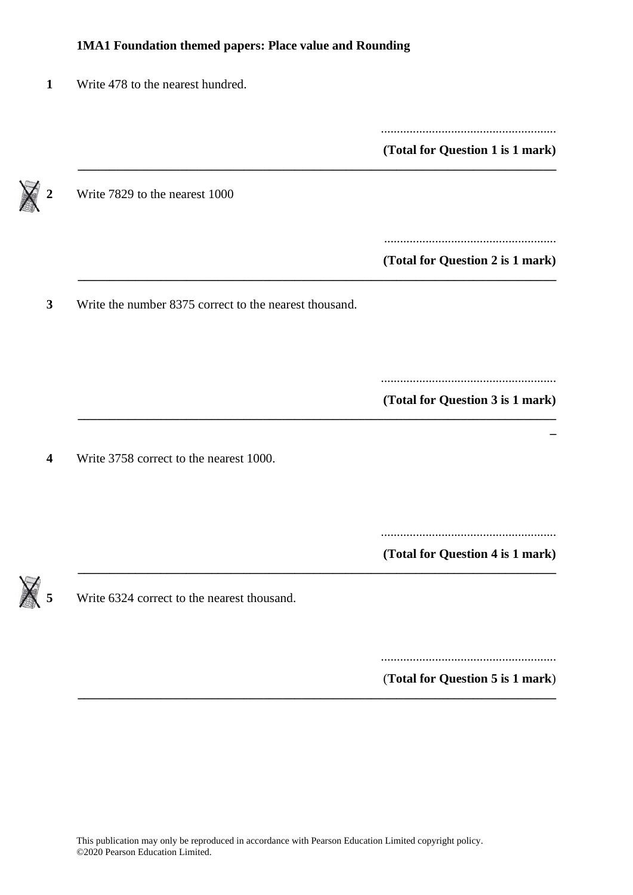|                                                        | (Total for Question 1 is 1 mark) |
|--------------------------------------------------------|----------------------------------|
| Write 7829 to the nearest 1000                         |                                  |
|                                                        | (Total for Question 2 is 1 mark) |
| Write the number 8375 correct to the nearest thousand. |                                  |
|                                                        |                                  |
|                                                        |                                  |
|                                                        |                                  |
| Write 3758 correct to the nearest 1000.                | (Total for Question 3 is 1 mark) |

....................................................... (**Total for Question 5 is 1 mark**)

**\_\_\_\_\_\_\_\_\_\_\_\_\_\_\_\_\_\_\_\_\_\_\_\_\_\_\_\_\_\_\_\_\_\_\_\_\_\_\_\_\_\_\_\_\_\_\_\_\_\_\_\_\_\_\_\_\_\_\_\_\_\_\_\_\_\_\_\_\_\_\_\_\_\_\_**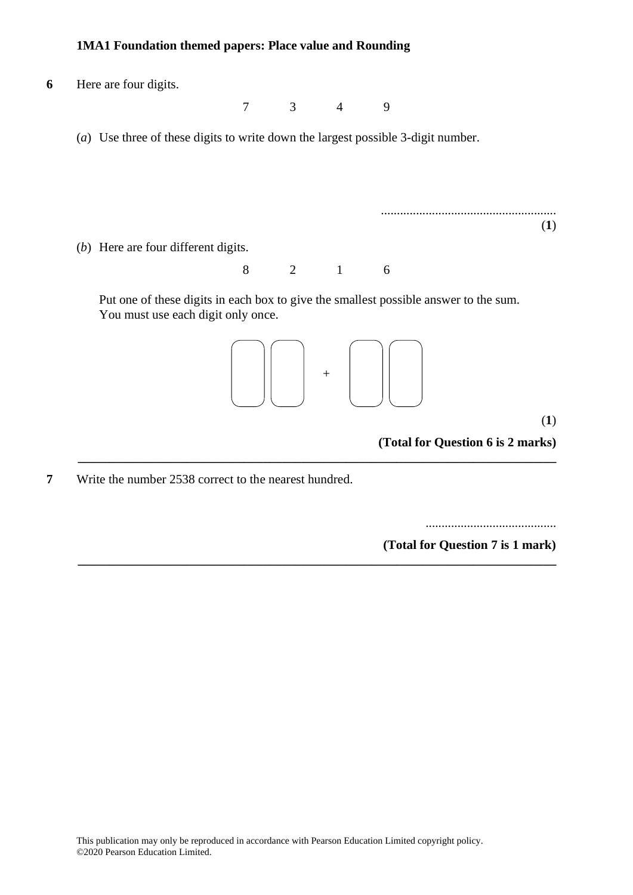**6** Here are four digits. **5** Here are four digits. 7 3 4 9 7 3 4 9 (*a*) Use three of these digits to write down the largest possible 3-digit number. (a) Use three of these digits to write down the largest possible 3-digit number. ....................................................... ....................................................... (**1**) **(1)** (*b*) Here are four different digits. (b) Here are four different digits. 8 2 1 6 Put one of these digits in each box to give the smallest possible answer to the sum. Put one of these digits in each box to give the smallest possible answer to the sum. You must use each digit only once. You must use each digit only once. (**1**) **(1) (Total for Question 6 is 2 marks) \_\_\_\_\_\_\_\_\_\_\_\_\_\_\_\_\_\_\_\_\_\_\_\_\_\_\_\_\_\_\_\_\_\_\_\_\_\_\_\_\_\_\_\_\_\_\_\_\_\_\_\_\_\_\_\_\_\_\_\_\_\_\_\_\_\_\_\_\_\_\_\_\_\_\_**  $\angle$  1 0 + **(Total for Question 5 is 2 marks)**

**\_\_\_\_\_\_\_\_\_\_\_\_\_\_\_\_\_\_\_\_\_\_\_\_\_\_\_\_\_\_\_\_\_\_\_\_\_\_\_\_\_\_\_\_\_\_\_\_\_\_\_\_\_\_\_\_\_\_\_\_\_\_\_\_\_\_\_\_\_\_\_\_\_\_\_**

**7** Write the number 2538 correct to the nearest hundred.

.........................................

**(Total for Question 7 is 1 mark)**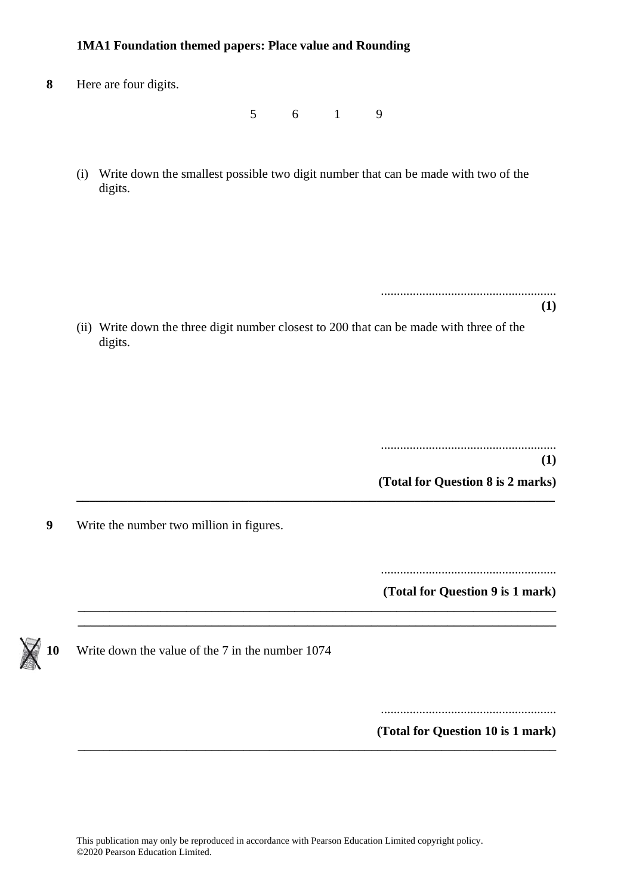**8** Here are four digits.

5 6 1 9

(i) Write down the smallest possible two digit number that can be made with two of the digits.

.......................................................

**(1)**

(ii) Write down the three digit number closest to 200 that can be made with three of the digits.

**\_\_\_\_\_\_\_\_\_\_\_\_\_\_\_\_\_\_\_\_\_\_\_\_\_\_\_\_\_\_\_\_\_\_\_\_\_\_\_\_\_\_\_\_\_\_\_\_\_\_\_\_\_\_\_\_\_\_\_\_\_\_\_\_\_\_\_\_\_\_\_\_\_\_\_**

**\_\_\_\_\_\_\_\_\_\_\_\_\_\_\_\_\_\_\_\_\_\_\_\_\_\_\_\_\_\_\_\_\_\_\_\_\_\_\_\_\_\_\_\_\_\_\_\_\_\_\_\_\_\_\_\_\_\_\_\_\_\_\_\_\_\_\_\_\_\_\_\_\_\_\_**

....................................................... **(1)**

**(Total for Question 8 is 2 marks)**

**9** Write the number two million in figures.

.......................................................

**(Total for Question 9 is 1 mark) \_\_\_\_\_\_\_\_\_\_\_\_\_\_\_\_\_\_\_\_\_\_\_\_\_\_\_\_\_\_\_\_\_\_\_\_\_\_\_\_\_\_\_\_\_\_\_\_\_\_\_\_\_\_\_\_\_\_\_\_\_\_\_\_\_\_\_\_\_\_\_\_\_\_\_**



**10** Write down the value of the 7 in the number 1074

.......................................................

**(Total for Question 10 is 1 mark) \_\_\_\_\_\_\_\_\_\_\_\_\_\_\_\_\_\_\_\_\_\_\_\_\_\_\_\_\_\_\_\_\_\_\_\_\_\_\_\_\_\_\_\_\_\_\_\_\_\_\_\_\_\_\_\_\_\_\_\_\_\_\_\_\_\_\_\_\_\_\_\_\_\_\_**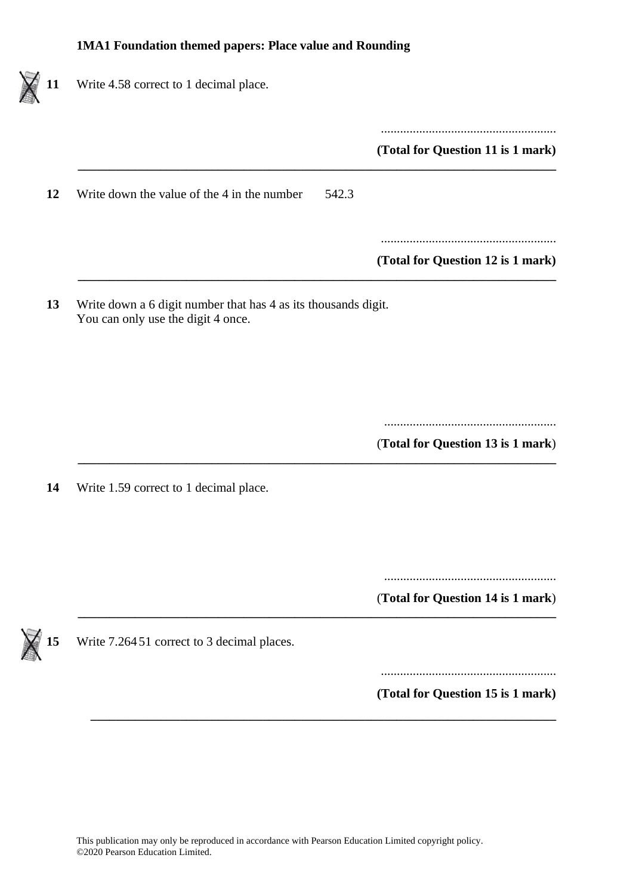١

| Write 4.58 correct to 1 decimal place.                                                               |                                   |
|------------------------------------------------------------------------------------------------------|-----------------------------------|
|                                                                                                      | (Total for Question 11 is 1 mark) |
| Write down the value of the 4 in the number<br>542.3                                                 |                                   |
|                                                                                                      | (Total for Question 12 is 1 mark) |
| Write down a 6 digit number that has 4 as its thousands digit.<br>You can only use the digit 4 once. |                                   |
|                                                                                                      |                                   |
|                                                                                                      |                                   |
|                                                                                                      | (Total for Question 13 is 1 mark) |
|                                                                                                      |                                   |
|                                                                                                      |                                   |
|                                                                                                      | (Total for Question 14 is 1 mark) |
| Write 1.59 correct to 1 decimal place.<br>Write 7.26451 correct to 3 decimal places.                 |                                   |